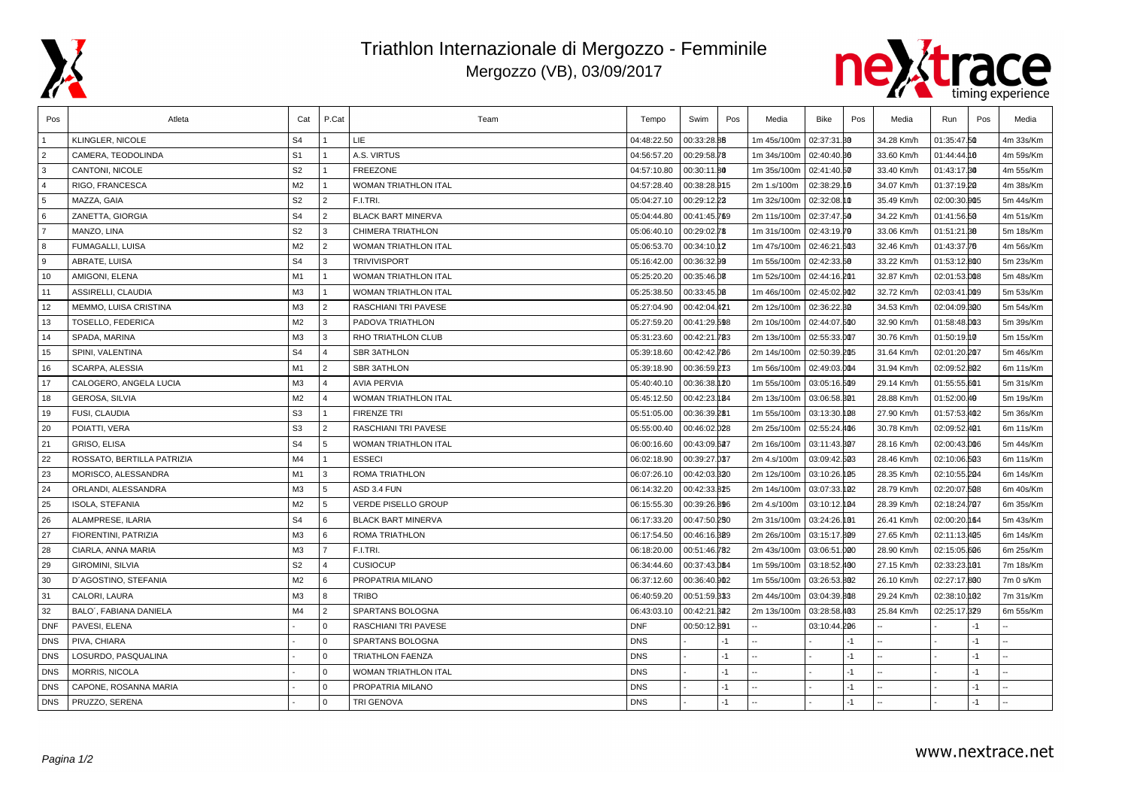

## Triathlon Internazionale di Mergozzo - Femminile Mergozzo (VB), 03/09/2017



| Pos            | Atleta                     | Cat            | P.Cat          | Team                        | Tempo       | Swim         | Pos  | Media       | Bike         | Pos  | Media      | Run          | Pos  | Media     |
|----------------|----------------------------|----------------|----------------|-----------------------------|-------------|--------------|------|-------------|--------------|------|------------|--------------|------|-----------|
|                | KLINGLER, NICOLE           | S <sub>4</sub> |                | <b>LIE</b>                  | 04:48:22.50 | 00:33:28.88  |      | 1m 45s/100m | 02:37:31.30  |      | 34.28 Km/h | 01:35:47.50  |      | 4m 33s/Km |
| $\overline{2}$ | CAMERA, TEODOLINDA         | S <sub>1</sub> |                | A.S. VIRTUS                 | 04:56:57.20 | 00:29:58.78  |      | 1m 34s/100m | 02:40:40.30  |      | 33.60 Km/h | 01:44:44.10  |      | 4m 59s/Km |
| 3              | CANTONI, NICOLE            | S <sub>2</sub> |                | <b>FREEZONE</b>             | 04:57:10.80 | 00:30:11.80  |      | 1m 35s/100m | 02:41:40.50  |      | 33.40 Km/h | 01:43:17.30  |      | 4m 55s/Km |
| $\overline{4}$ | RIGO, FRANCESCA            | M <sub>2</sub> |                | <b>WOMAN TRIATHLON ITAL</b> | 04:57:28.40 | 00:38:28.915 |      | 2m 1.s/100m | 02:38:29.16  |      | 34.07 Km/h | 01:37:19.20  |      | 4m 38s/Km |
| 5              | MAZZA, GAIA                | S <sub>2</sub> | $\overline{2}$ | F.I.TRI.                    | 05:04:27.10 | 00:29:12.23  |      | 1m 32s/100m | 02:32:08.10  |      | 35.49 Km/h | 02:00:30.005 |      | 5m 44s/Km |
| 6              | ZANETTA, GIORGIA           | S <sub>4</sub> | $\overline{2}$ | <b>BLACK BART MINERVA</b>   | 05:04:44.80 | 00:41:45.769 |      | 2m 11s/100m | 02:37:47.50  |      | 34.22 Km/h | 01:41:56.50  |      | 4m 51s/Km |
| $\overline{7}$ | MANZO, LINA                | S <sub>2</sub> | Iз             | <b>CHIMERA TRIATHLON</b>    | 05:06:40.10 | 00:29:02.78  |      | 1m 31s/100m | 02:43:19.79  |      | 33.06 Km/h | 01:51:21.88  |      | 5m 18s/Km |
| 8              | FUMAGALLI, LUISA           | M2             | $\overline{2}$ | WOMAN TRIATHLON ITAL        | 05:06:53.70 | 00:34:10.12  |      | 1m 47s/100m | 02:46:21.603 |      | 32.46 Km/h | 01:43:37.76  |      | 4m 56s/Km |
| 9              | <b>ABRATE, LUISA</b>       | S <sub>4</sub> | Iз             | <b>TRIVIVISPORT</b>         | 05:16:42.00 | 00:36:32.99  |      | 1m 55s/100m | 02:42:33.58  |      | 33.22 Km/h | 01:53:12.800 |      | 5m 23s/Km |
| 10             | AMIGONI, ELENA             | M1             | $\vert$ 1      | WOMAN TRIATHLON ITAL        | 05:25:20.20 | 00:35:46.08  |      | 1m 52s/100m | 02:44:16.201 |      | 32.87 Km/h | 02:01:53.008 |      | 5m 48s/Km |
| 11             | ASSIRELLI, CLAUDIA         | M <sub>3</sub> | $\overline{1}$ | <b>WOMAN TRIATHLON ITAL</b> | 05:25:38.50 | 00:33:45.00  |      | 1m 46s/100m | 02:45:02.902 |      | 32.72 Km/h | 02:03:41.009 |      | 5m 53s/Km |
| 12             | MEMMO, LUISA CRISTINA      | M <sub>3</sub> | $\overline{2}$ | RASCHIANI TRI PAVESE        | 05:27:04.90 | 00:42:04.421 |      | 2m 12s/100m | 02:36:22.30  |      | 34.53 Km/h | 02:04:09.300 |      | 5m 54s/Km |
| 13             | TOSELLO, FEDERICA          | M2             | 3              | PADOVA TRIATHLON            | 05:27:59.20 | 00:41:29.598 |      | 2m 10s/100m | 02:44:07.500 |      | 32.90 Km/h | 01:58:48.003 |      | 5m 39s/Km |
| 14             | SPADA, MARINA              | M <sub>3</sub> | 3              | <b>RHO TRIATHLON CLUB</b>   | 05:31:23.60 | 00:42:21.783 |      | 2m 13s/100m | 02:55:33.007 |      | 30.76 Km/h | 01:50:19.00  |      | 5m 15s/Km |
| 15             | SPINI, VALENTINA           | S <sub>4</sub> | $\overline{4}$ | <b>SBR 3ATHLON</b>          | 05:39:18.60 | 00:42:42.786 |      | 2m 14s/100m | 02:50:39.205 |      | 31.64 Km/h | 02:01:20.207 |      | 5m 46s/Km |
| 16             | SCARPA, ALESSIA            | M1             | $\overline{2}$ | <b>SBR 3ATHLON</b>          | 05:39:18.90 | 00:36:59.273 |      | 1m 56s/100m | 02:49:03.004 |      | 31.94 Km/h | 02:09:52.802 |      | 6m 11s/Km |
| 17             | CALOGERO, ANGELA LUCIA     | M <sub>3</sub> | $\overline{4}$ | <b>AVIA PERVIA</b>          | 05:40:40.10 | 00:36:38.120 |      | 1m 55s/100m | 03:05:16.509 |      | 29.14 Km/h | 01:55:55.601 |      | 5m 31s/Km |
| 18             | GEROSA, SILVIA             | M2             | $\overline{4}$ | WOMAN TRIATHLON ITAL        | 05:45:12.50 | 00:42:23.184 |      | 2m 13s/100m | 03:06:58.301 |      | 28.88 Km/h | 01:52:00.49  |      | 5m 19s/Km |
| 19             | FUSI, CLAUDIA              | S <sub>3</sub> | $\overline{1}$ | <b>FIRENZE TRI</b>          | 05:51:05.00 | 00:36:39.281 |      | 1m 55s/100m | 03:13:30.108 |      | 27.90 Km/h | 01:57:53.402 |      | 5m 36s/Km |
| 20             | POIATTI, VERA              | S <sub>3</sub> | $\overline{2}$ | <b>RASCHIANI TRI PAVESE</b> | 05:55:00.40 | 00:46:02.028 |      | 2m 25s/100m | 02:55:24.406 |      | 30.78 Km/h | 02:09:52.401 |      | 6m 11s/Km |
| 21             | GRISO, ELISA               | S <sub>4</sub> | 5              | WOMAN TRIATHLON ITAL        | 06:00:16.60 | 00:43:09.627 |      | 2m 16s/100m | 03:11:43.307 |      | 28.16 Km/h | 02:00:43.006 |      | 5m 44s/Km |
| 22             | ROSSATO, BERTILLA PATRIZIA | M4             | $\overline{1}$ | <b>ESSECI</b>               | 06:02:18.90 | 00:39:27.037 |      | 2m 4.s/100m | 03:09:42.503 |      | 28.46 Km/h | 02:10:06.503 |      | 6m 11s/Km |
| 23             | MORISCO, ALESSANDRA        | M1             | 3              | <b>ROMA TRIATHLON</b>       | 06:07:26.10 | 00:42:03.320 |      | 2m 12s/100m | 03:10:26.105 |      | 28.35 Km/h | 02:10:55.204 |      | 6m 14s/Km |
| 24             | ORLANDI, ALESSANDRA        | M3             | 5              | ASD 3.4 FUN                 | 06:14:32.20 | 00:42:33.825 |      | 2m 14s/100m | 03:07:33.102 |      | 28.79 Km/h | 02:20:07.508 |      | 6m 40s/Km |
| 25             | ISOLA, STEFANIA            | M2             | 5              | <b>VERDE PISELLO GROUP</b>  | 06:15:55.30 | 00:39:26.896 |      | 2m 4.s/100m | 03:10:12.104 |      | 28.39 Km/h | 02:18:24.707 |      | 6m 35s/Km |
| 26             | ALAMPRESE, ILARIA          | S <sub>4</sub> | l 6            | <b>BLACK BART MINERVA</b>   | 06:17:33.20 | 00:47:50.250 |      | 2m 31s/100m | 03:24:26.101 |      | 26.41 Km/h | 02:00:20.164 |      | 5m 43s/Km |
| 27             | FIORENTINI, PATRIZIA       | M3             | 6              | ROMA TRIATHLON              | 06:17:54.50 | 00:46:16.329 |      | 2m 26s/100m | 03:15:17.809 |      | 27.65 Km/h | 02:11:13.405 |      | 6m 14s/Km |
| 28             | CIARLA, ANNA MARIA         | M <sub>3</sub> | $\overline{7}$ | F.I.TRI.                    | 06:18:20.00 | 00:51:46.782 |      | 2m 43s/100m | 03:06:51.000 |      | 28.90 Km/h | 02:15:05.606 |      | 6m 25s/Km |
| 29             | <b>GIROMINI, SILVIA</b>    | S <sub>2</sub> | $\overline{4}$ | <b>CUSIOCUP</b>             | 06:34:44.60 | 00:37:43.084 |      | 1m 59s/100m | 03:18:52.400 |      | 27.15 Km/h | 02:33:23.001 |      | 7m 18s/Km |
| 30             | D'AGOSTINO, STEFANIA       | M <sub>2</sub> | 6              | PROPATRIA MILANO            | 06:37:12.60 | 00:36:40.902 |      | 1m 55s/100m | 03:26:53.802 |      | 26.10 Km/h | 02:27:17.800 |      | 7m 0 s/Km |
| 31             | CALORI, LAURA              | M <sub>3</sub> | 8              | <b>TRIBO</b>                | 06:40:59.20 | 00:51:59.333 |      | 2m 44s/100m | 03:04:39.808 |      | 29.24 Km/h | 02:38:10.092 |      | 7m 31s/Km |
| 32             | BALO', FABIANA DANIELA     | M4             | $\overline{2}$ | SPARTANS BOLOGNA            | 06:43:03.10 | 00:42:21     | .342 | 2m 13s/100m | 03:28:58.403 |      | 25.84 Km/h | 02:25:17.329 |      | 6m 55s/Km |
| <b>DNF</b>     | PAVESI, ELENA              |                | $\overline{0}$ | RASCHIANI TRI PAVESE        | <b>DNF</b>  | 00:50:12.891 |      |             | 03:10:44.206 |      |            |              | $-1$ |           |
| <b>DNS</b>     | PIVA, CHIARA               |                | $\Omega$       | SPARTANS BOLOGNA            | <b>DNS</b>  |              | $-1$ |             |              | $-1$ |            |              | $-1$ |           |
| <b>DNS</b>     | LOSURDO, PASQUALINA        |                | l 0            | <b>TRIATHLON FAENZA</b>     | <b>DNS</b>  |              | $-1$ |             |              | $-1$ |            |              | $-1$ |           |
| <b>DNS</b>     | MORRIS, NICOLA             |                | $\Omega$       | WOMAN TRIATHLON ITAL        | <b>DNS</b>  |              | $-1$ |             |              | $-1$ |            |              | $-1$ |           |
| <b>DNS</b>     | CAPONE, ROSANNA MARIA      |                | $\overline{0}$ | PROPATRIA MILANO            | <b>DNS</b>  |              | $-1$ |             |              | $-1$ |            |              | $-1$ |           |
| <b>DNS</b>     | PRUZZO, SERENA             |                | l 0            | <b>TRI GENOVA</b>           | <b>DNS</b>  |              | -1   |             |              | $-1$ |            |              | -1   |           |